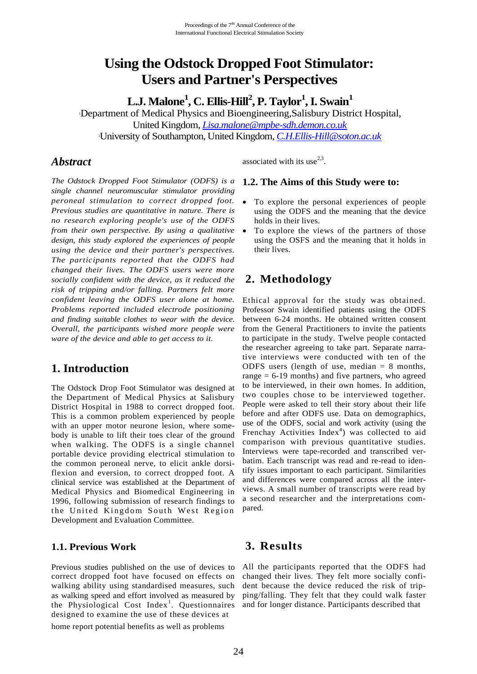# **Using the Odstock Dropped Foot Stimulator: Users and Partner's Perspectives**

**L.J. Malone<sup>1</sup> , C. Ellis-Hill<sup>2</sup> , P. Taylor<sup>1</sup> , I. Swain<sup>1</sup>**

<sup>1</sup>Department of Medical Physics and Bioengineering,Salisbury District Hospital, United Kingdom, *[Lisa.malone@mpbe-sdh.demon.co.uk](mailto:Lisa.malone@mpbe-sdh.demon.co.uk)* <sup>2</sup>University of Southampton, United Kingdom, *[C.H.Ellis-Hill@soton.ac.uk](mailto:C.H.Ellis-Hill@soton.ac.uk)*

### *Abstract*

associated with its use<sup>2,3</sup>.

*The Odstock Dropped Foot Stimulator (ODFS) is a single channel neuromuscular stimulator providing peroneal stimulation to correct dropped foot. Previous studies are quantitative in nature. There is no research exploring people's use of the ODFS from their own perspective. By using a qualitative design, this study explored the experiences of people using the device and their partner's perspectives. The participants reported that the ODFS had changed their lives. The ODFS users were more socially confident with the device, as it reduced the risk of tripping and/or falling. Partners felt more confident leaving the ODFS user alone at home. Problems reported included electrode positioning and finding suitable clothes to wear with the device. Overall, the participants wished more people were ware of the device and able to get access to it.*

## **1. Introduction**

The Odstock Drop Foot Stimulator was designed at the Department of Medical Physics at Salisbury District Hospital in 1988 to correct dropped foot. This is a common problem experienced by people with an upper motor neurone lesion, where somebody is unable to lift their toes clear of the ground when walking. The ODFS is a single channel portable device providing electrical stimulation to the common peroneal nerve, to elicit ankle dorsiflexion and eversion, to correct dropped foot. A clinical service was established at the Department of Medical Physics and Biomedical Engineering in 1996, following submission of research findings to the United Kingdom South West Region Development and Evaluation Committee.

#### **1.1. Previous Work**

Previous studies published on the use of devices to correct dropped foot have focused on effects on walking ability using standardised measures, such as walking speed and effort involved as measured by the Physiological Cost Index<sup>1</sup>. Questionnaires designed to examine the use of these devices at

home report potential benefits as well as problems

### **1.2. The Aims of this Study were to:**

- To explore the personal experiences of people using the ODFS and the meaning that the device holds in their lives.
- To explore the views of the partners of those using the OSFS and the meaning that it holds in their lives.

## **2. Methodology**

Ethical approval for the study was obtained. Professor Swain identified patients using the ODFS between 6-24 months. He obtained written consent from the General Practitioners to invite the patients to participate in the study. Twelve people contacted the researcher agreeing to take part. Separate narrative interviews were conducted with ten of the ODFS users (length of use, median  $= 8$  months, range = 6-19 months) and five partners, who agreed to be interviewed, in their own homes. In addition, two couples chose to be interviewed together. People were asked to tell their story about their life before and after ODFS use. Data on demographics, use of the ODFS, social and work activity (using the Frenchay Activities Index<sup>4</sup>) was collected to aid comparison with previous quantitative studies. Interviews were tape-recorded and transcribed verbatim. Each transcript was read and re-read to identify issues important to each participant. Similarities and differences were compared across all the interviews. A small number of transcripts were read by a second researcher and the interpretations compared.

## **3. Results**

All the participants reported that the ODFS had changed their lives. They felt more socially confident because the device reduced the risk of tripping/falling. They felt that they could walk faster and for longer distance. Participants described that